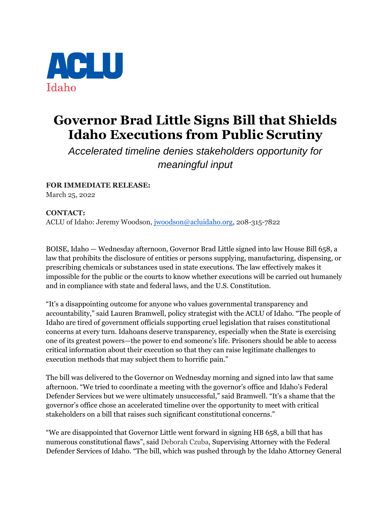

## **Governor Brad Little Signs Bill that Shields Idaho Executions from Public Scrutiny**

*Accelerated timeline denies stakeholders opportunity for meaningful input*

**FOR IMMEDIATE RELEASE:**  March 25, 2022

**CONTACT:** ACLU of Idaho: Jeremy Woodson, [jwoodson@acluidaho.org,](mailto:jwoodson@acluidao.org) 208-315-7822

BOISE, Idaho — Wednesday afternoon, Governor Brad Little signed into law House Bill 658, a law that prohibits the disclosure of entities or persons supplying, manufacturing, dispensing, or prescribing chemicals or substances used in state executions. The law effectively makes it impossible for the public or the courts to know whether executions will be carried out humanely and in compliance with state and federal laws, and the U.S. Constitution.

"It's a disappointing outcome for anyone who values governmental transparency and accountability," said Lauren Bramwell, policy strategist with the ACLU of Idaho. "The people of Idaho are tired of government officials supporting cruel legislation that raises constitutional concerns at every turn. Idahoans deserve transparency, especially when the State is exercising one of its greatest powers—the power to end someone's life. Prisoners should be able to access critical information about their execution so that they can raise legitimate challenges to execution methods that may subject them to horrific pain."

The bill was delivered to the Governor on Wednesday morning and signed into law that same afternoon. "We tried to coordinate a meeting with the governor's office and Idaho's Federal Defender Services but we were ultimately unsuccessful," said Bramwell. "It's a shame that the governor's office chose an accelerated timeline over the opportunity to meet with critical stakeholders on a bill that raises such significant constitutional concerns."

"We are disappointed that Governor Little went forward in signing HB 658, a bill that has numerous constitutional flaws", said Deborah Czuba, Supervising Attorney with the Federal Defender Services of Idaho. "The bill, which was pushed through by the Idaho Attorney General